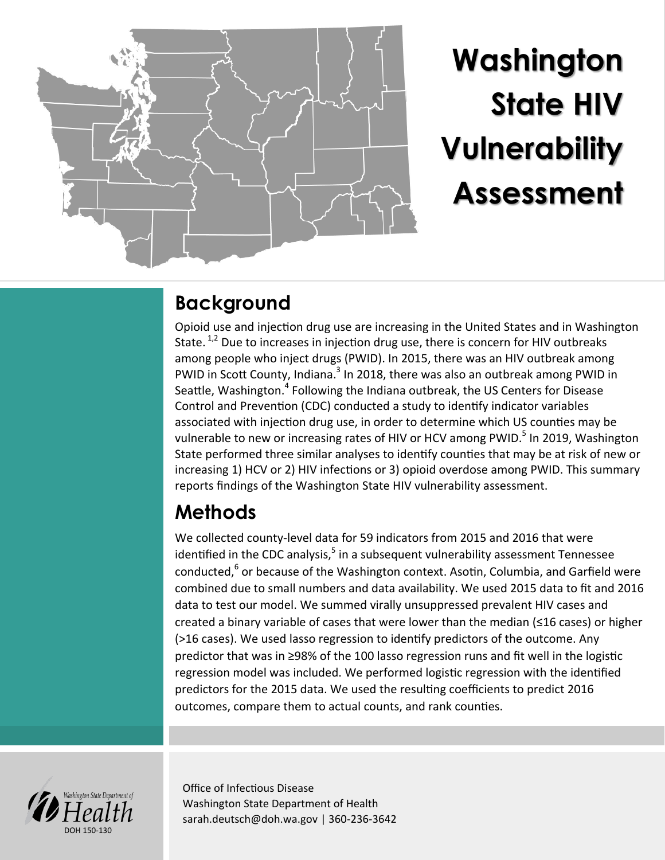

# **Washington State HIV Vulnerability Assessment**

### **Background**

Opioid use and injection drug use are increasing in the United States and in Washington State.  $1,2$  Due to increases in injection drug use, there is concern for HIV outbreaks among people who inject drugs (PWID). In 2015, there was an HIV outbreak among PWID in Scott County, Indiana.<sup>3</sup> In 2018, there was also an outbreak among PWID in Seattle, Washington.<sup>4</sup> Following the Indiana outbreak, the US Centers for Disease Control and Prevention (CDC) conducted a study to identify indicator variables associated with injection drug use, in order to determine which US counties may be vulnerable to new or increasing rates of HIV or HCV among PWID.<sup>5</sup> In 2019, Washington State performed three similar analyses to identify counties that may be at risk of new or increasing 1) HCV or 2) HIV infections or 3) opioid overdose among PWID. This summary reports findings of the Washington State HIV vulnerability assessment.

## **Methods**

We collected county-level data for 59 indicators from 2015 and 2016 that were identified in the CDC analysis,<sup>5</sup> in a subsequent vulnerability assessment Tennessee conducted,<sup>6</sup> or because of the Washington context. Asotin, Columbia, and Garfield were combined due to small numbers and data availability. We used 2015 data to fit and 2016 data to test our model. We summed virally unsuppressed prevalent HIV cases and created a binary variable of cases that were lower than the median (≤16 cases) or higher (>16 cases). We used lasso regression to identify predictors of the outcome. Any predictor that was in ≥98% of the 100 lasso regression runs and fit well in the logistic regression model was included. We performed logistic regression with the identified predictors for the 2015 data. We used the resulting coefficients to predict 2016 outcomes, compare them to actual counts, and rank counties.



Office of Infectious Disease Washington State Department of Health sarah.deutsch@doh.wa.gov | 360-236-3642